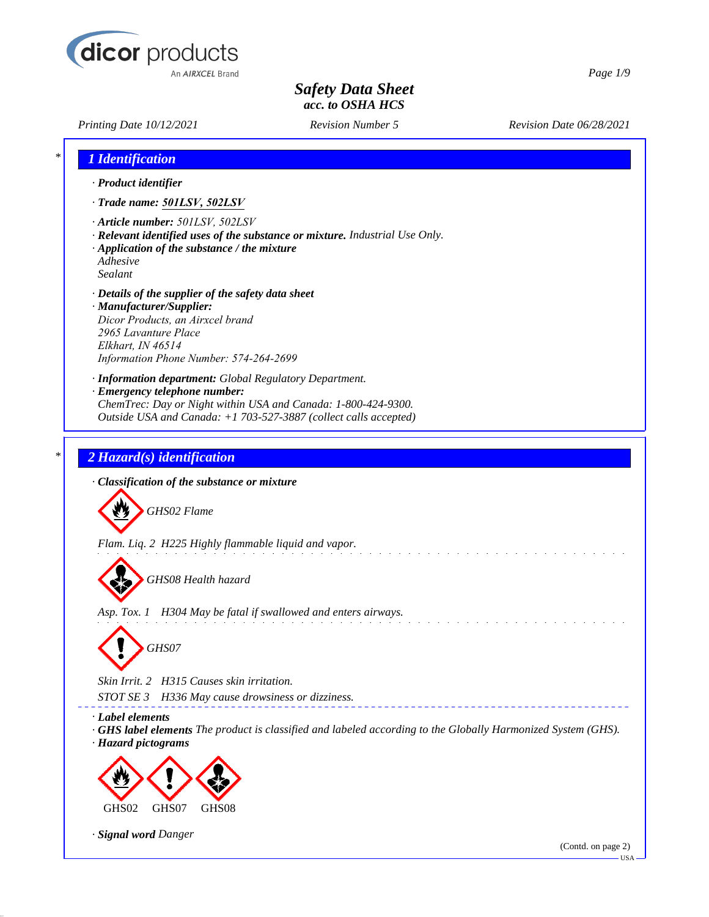

*Printing Date 10/12/2021 Revision Number 5 Revision Date 06/28/2021*

*Page 1/9*

| <i><b>1</b> Identification</i>                                                                                                                                                                                                |
|-------------------------------------------------------------------------------------------------------------------------------------------------------------------------------------------------------------------------------|
| · Product identifier                                                                                                                                                                                                          |
| · Trade name: 501LSV, 502LSV                                                                                                                                                                                                  |
| · Article number: 501LSV, 502LSV<br>· Relevant identified uses of the substance or mixture. Industrial Use Only.<br>$\cdot$ Application of the substance / the mixture<br>Adhesive<br>Sealant                                 |
| · Details of the supplier of the safety data sheet<br>· Manufacturer/Supplier:<br>Dicor Products, an Airxcel brand<br>2965 Lavanture Place<br>Elkhart, IN 46514<br>Information Phone Number: 574-264-2699                     |
| · Information department: Global Regulatory Department.<br>· Emergency telephone number:<br>ChemTrec: Day or Night within USA and Canada: 1-800-424-9300.<br>Outside USA and Canada: +1 703-527-3887 (collect calls accepted) |
| 2 Hazard(s) identification                                                                                                                                                                                                    |
| · Classification of the substance or mixture                                                                                                                                                                                  |
| GHS02 Flame                                                                                                                                                                                                                   |
| Flam. Liq. 2 H225 Highly flammable liquid and vapor.                                                                                                                                                                          |
| GHS08 Health hazard                                                                                                                                                                                                           |
| Asp. Tox. 1 H304 May be fatal if swallowed and enters airways.<br>GHS07                                                                                                                                                       |
|                                                                                                                                                                                                                               |
| Skin Irrit. 2 H315 Causes skin irritation.<br>STOT SE 3<br>H336 May cause drowsiness or dizziness.                                                                                                                            |
| · Label elements<br><b>GHS label elements</b> The product is classified and labeled according to the Globally Harmonized System (GHS).<br>· Hazard pictograms                                                                 |
|                                                                                                                                                                                                                               |
| GHS08<br>GHS02<br>GHS07                                                                                                                                                                                                       |
| · Signal word Danger<br>(Contd. on page 2)<br>$-$ USA $-$                                                                                                                                                                     |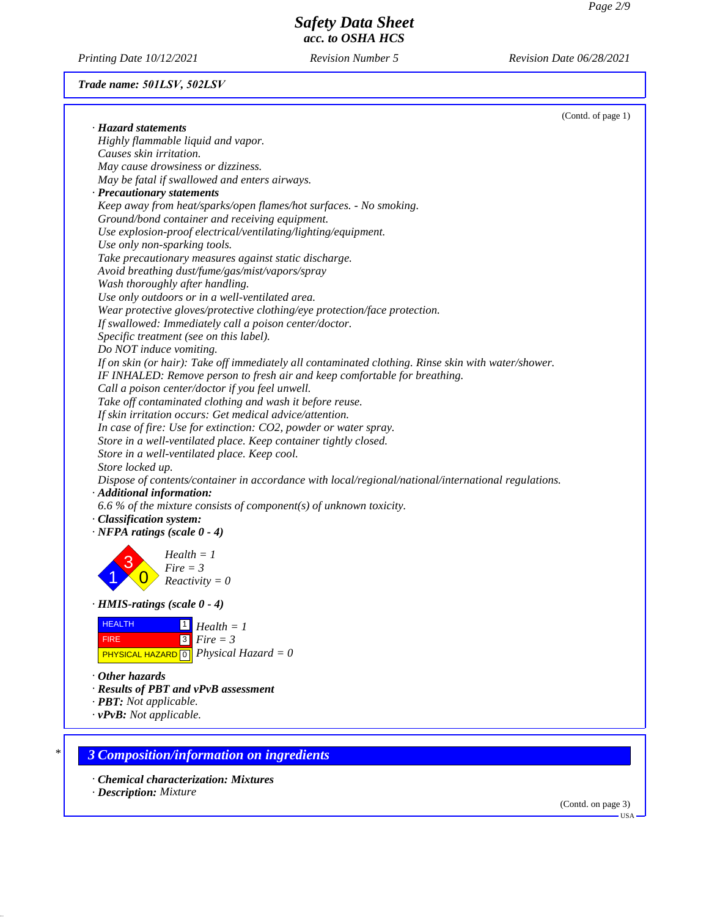*Printing Date 10/12/2021 Revision Number 5 Revision Date 06/28/2021*

# *Trade name: 501LSV, 502LSV*

|                                                                                                                                     | (Contd. of page 1) |
|-------------------------------------------------------------------------------------------------------------------------------------|--------------------|
| · Hazard statements                                                                                                                 |                    |
| Highly flammable liquid and vapor.                                                                                                  |                    |
| Causes skin irritation.                                                                                                             |                    |
| May cause drowsiness or dizziness.                                                                                                  |                    |
| May be fatal if swallowed and enters airways.                                                                                       |                    |
| · Precautionary statements                                                                                                          |                    |
| Keep away from heat/sparks/open flames/hot surfaces. - No smoking.                                                                  |                    |
| Ground/bond container and receiving equipment.                                                                                      |                    |
| Use explosion-proof electrical/ventilating/lighting/equipment.                                                                      |                    |
| Use only non-sparking tools.                                                                                                        |                    |
| Take precautionary measures against static discharge.                                                                               |                    |
| Avoid breathing dust/fume/gas/mist/vapors/spray                                                                                     |                    |
| Wash thoroughly after handling.                                                                                                     |                    |
| Use only outdoors or in a well-ventilated area.                                                                                     |                    |
| Wear protective gloves/protective clothing/eye protection/face protection.                                                          |                    |
| If swallowed: Immediately call a poison center/doctor.                                                                              |                    |
| Specific treatment (see on this label).                                                                                             |                    |
| Do NOT induce vomiting.                                                                                                             |                    |
| If on skin (or hair): Take off immediately all contaminated clothing. Rinse skin with water/shower.                                 |                    |
| IF INHALED: Remove person to fresh air and keep comfortable for breathing.                                                          |                    |
| Call a poison center/doctor if you feel unwell.                                                                                     |                    |
| Take off contaminated clothing and wash it before reuse.                                                                            |                    |
| If skin irritation occurs: Get medical advice/attention.                                                                            |                    |
| In case of fire: Use for extinction: CO2, powder or water spray.                                                                    |                    |
| Store in a well-ventilated place. Keep container tightly closed.                                                                    |                    |
| Store in a well-ventilated place. Keep cool.                                                                                        |                    |
| Store locked up.                                                                                                                    |                    |
| Dispose of contents/container in accordance with local/regional/national/international regulations.                                 |                    |
| · Additional information:                                                                                                           |                    |
| 6.6 % of the mixture consists of component(s) of unknown toxicity.                                                                  |                    |
| · Classification system:                                                                                                            |                    |
| $\cdot$ NFPA ratings (scale 0 - 4)                                                                                                  |                    |
| $Health = 1$                                                                                                                        |                    |
| $Fire = 3$                                                                                                                          |                    |
| $Reactivity = 0$                                                                                                                    |                    |
|                                                                                                                                     |                    |
| $\cdot$ HMIS-ratings (scale $0 - 4$ )                                                                                               |                    |
| <b>HEALTH</b><br>$\Box$ Health = 1                                                                                                  |                    |
| $Fire = 3$<br><b>FIRE</b>                                                                                                           |                    |
| Physical Hazard = $0$                                                                                                               |                    |
| <b>PHYSICAL HAZARD 0</b>                                                                                                            |                    |
| $\cdot$ Other hazards                                                                                                               |                    |
| · Results of PBT and vPvB assessment                                                                                                |                    |
|                                                                                                                                     |                    |
|                                                                                                                                     |                    |
|                                                                                                                                     |                    |
|                                                                                                                                     |                    |
| <b>3 Composition/information on ingredients</b>                                                                                     |                    |
|                                                                                                                                     |                    |
|                                                                                                                                     |                    |
| · <b>PBT</b> : Not applicable.<br>$\cdot v$ PvB: Not applicable.<br>• Chemical characterization: Mixtures<br>· Description: Mixture |                    |

(Contd. on page 3) USA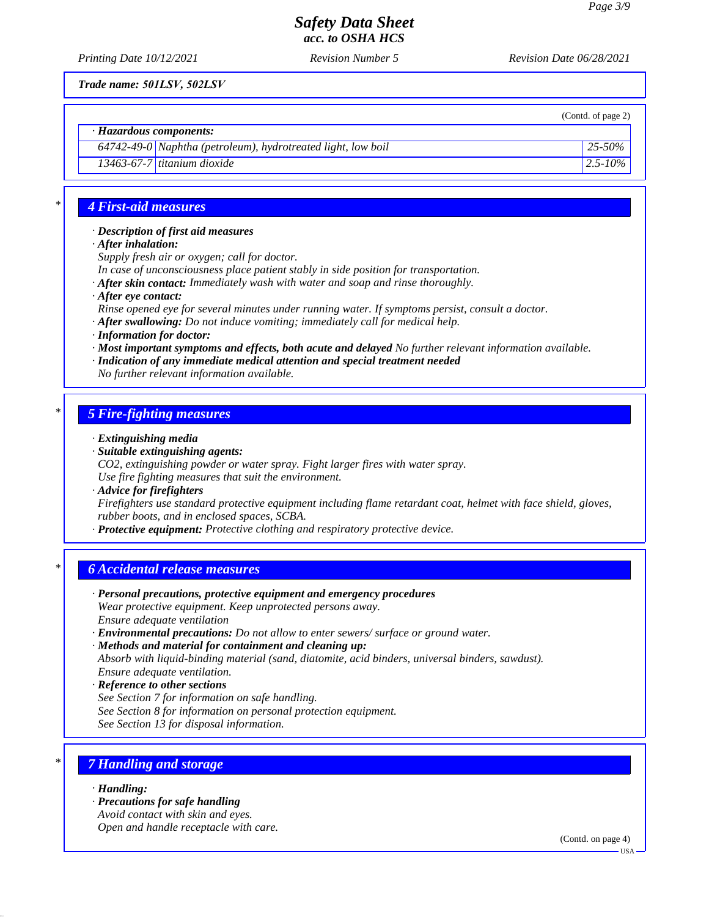*Printing Date 10/12/2021 Revision Number 5 Revision Date 06/28/2021*

*Trade name: 501LSV, 502LSV*

(Contd. of page 2)

*· Hazardous components:*

*64742-49-0 Naphtha (petroleum), hydrotreated light, low boil 25-50%*

*13463-67-7 titanium dioxide 2.5-10%*

### *\* 4 First-aid measures*

*· Description of first aid measures*

*· After inhalation:*

*Supply fresh air or oxygen; call for doctor.*

*In case of unconsciousness place patient stably in side position for transportation.*

- *· After skin contact: Immediately wash with water and soap and rinse thoroughly.*
- *· After eye contact:*

*Rinse opened eye for several minutes under running water. If symptoms persist, consult a doctor.*

- *· After swallowing: Do not induce vomiting; immediately call for medical help.*
- *· Information for doctor:*
- *· Most important symptoms and effects, both acute and delayed No further relevant information available.*

*· Indication of any immediate medical attention and special treatment needed*

*No further relevant information available.*

## *\* 5 Fire-fighting measures*

- *· Extinguishing media*
- *· Suitable extinguishing agents:*

*CO2, extinguishing powder or water spray. Fight larger fires with water spray.*

*Use fire fighting measures that suit the environment.*

*· Advice for firefighters*

*Firefighters use standard protective equipment including flame retardant coat, helmet with face shield, gloves, rubber boots, and in enclosed spaces, SCBA.*

*· Protective equipment: Protective clothing and respiratory protective device.*

## *\* 6 Accidental release measures*

- *· Personal precautions, protective equipment and emergency procedures Wear protective equipment. Keep unprotected persons away. Ensure adequate ventilation*
- *· Environmental precautions: Do not allow to enter sewers/ surface or ground water.*

*· Methods and material for containment and cleaning up:*

*Absorb with liquid-binding material (sand, diatomite, acid binders, universal binders, sawdust). Ensure adequate ventilation.*

*· Reference to other sections*

- *See Section 7 for information on safe handling.*
- *See Section 8 for information on personal protection equipment.*

*See Section 13 for disposal information.*

# *\* 7 Handling and storage*

*· Handling:*

*· Precautions for safe handling Avoid contact with skin and eyes. Open and handle receptacle with care.*

(Contd. on page 4)

USA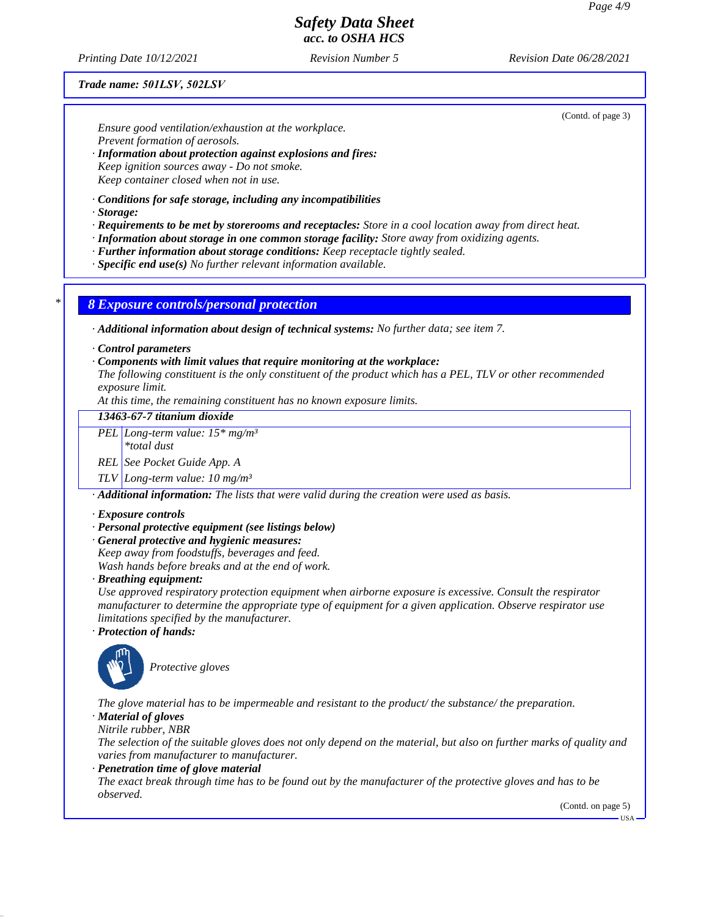*Printing Date 10/12/2021 Revision Number 5 Revision Date 06/28/2021*

### *Trade name: 501LSV, 502LSV*

(Contd. of page 3)

*Ensure good ventilation/exhaustion at the workplace. Prevent formation of aerosols.*

- *· Information about protection against explosions and fires: Keep ignition sources away - Do not smoke. Keep container closed when not in use.*
- *· Conditions for safe storage, including any incompatibilities*
- *· Storage:*
- *· Requirements to be met by storerooms and receptacles: Store in a cool location away from direct heat.*
- *· Information about storage in one common storage facility: Store away from oxidizing agents.*
- *· Further information about storage conditions: Keep receptacle tightly sealed.*
- *· Specific end use(s) No further relevant information available.*

*\* 8 Exposure controls/personal protection*

*· Additional information about design of technical systems: No further data; see item 7.*

- *· Control parameters*
- *· Components with limit values that require monitoring at the workplace:*

*The following constituent is the only constituent of the product which has a PEL, TLV or other recommended exposure limit.*

*At this time, the remaining constituent has no known exposure limits.*

*13463-67-7 titanium dioxide*

*PEL Long-term value: 15\* mg/m³*

*\*total dust*

*REL See Pocket Guide App. A*

*TLV Long-term value: 10 mg/m³*

*· Additional information: The lists that were valid during the creation were used as basis.*

- *· Exposure controls*
- *· Personal protective equipment (see listings below)*
- *· General protective and hygienic measures:*
- *Keep away from foodstuffs, beverages and feed. Wash hands before breaks and at the end of work.*
- *· Breathing equipment:*

*Use approved respiratory protection equipment when airborne exposure is excessive. Consult the respirator manufacturer to determine the appropriate type of equipment for a given application. Observe respirator use limitations specified by the manufacturer.*

*· Protection of hands:*



*Protective gloves*

*The glove material has to be impermeable and resistant to the product/ the substance/ the preparation.*

*· Material of gloves*

*Nitrile rubber, NBR*

*The selection of the suitable gloves does not only depend on the material, but also on further marks of quality and varies from manufacturer to manufacturer.*

*· Penetration time of glove material*

*The exact break through time has to be found out by the manufacturer of the protective gloves and has to be observed.*

(Contd. on page 5)

 $-<sup>T</sup>S<sub>A</sub>$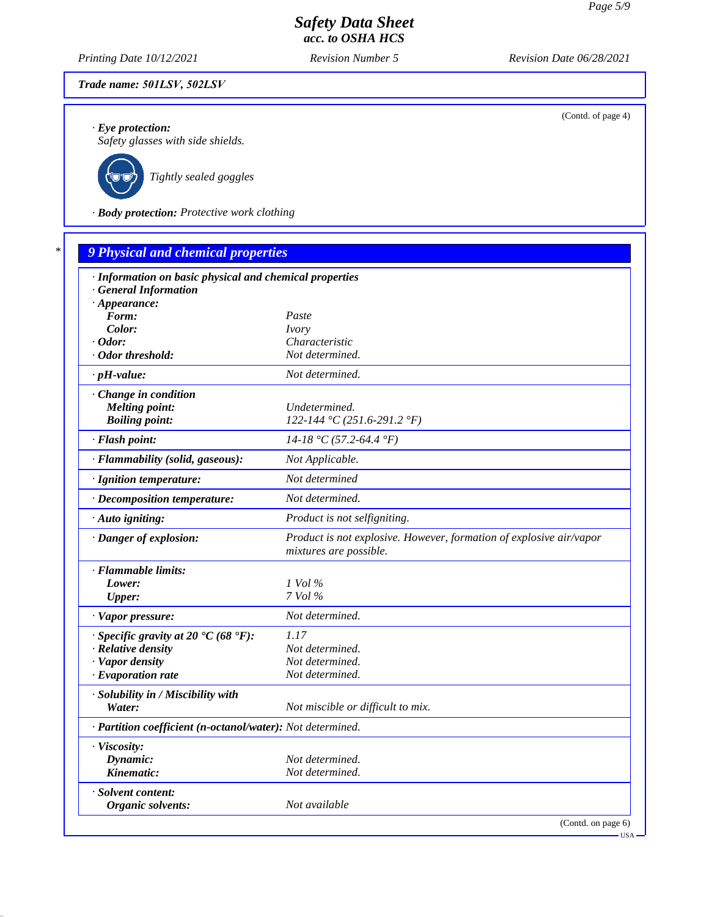*Printing Date 10/12/2021 Revision Number 5 Revision Date 06/28/2021*

## *Trade name: 501LSV, 502LSV*

*· Eye protection:*

*Safety glasses with side shields.*



*Tightly sealed goggles*

*· Body protection: Protective work clothing*

| · Information on basic physical and chemical properties    |                                                                                               |  |  |  |  |  |
|------------------------------------------------------------|-----------------------------------------------------------------------------------------------|--|--|--|--|--|
| <b>General Information</b>                                 |                                                                                               |  |  |  |  |  |
| $\cdot$ Appearance:                                        |                                                                                               |  |  |  |  |  |
| Form:                                                      | Paste                                                                                         |  |  |  |  |  |
| Color:                                                     | <i>Ivory</i>                                                                                  |  |  |  |  |  |
| $\cdot$ Odor:<br>· Odor threshold:                         | Characteristic<br>Not determined.                                                             |  |  |  |  |  |
| $\cdot$ pH-value:                                          | Not determined.                                                                               |  |  |  |  |  |
|                                                            |                                                                                               |  |  |  |  |  |
| · Change in condition                                      |                                                                                               |  |  |  |  |  |
| <b>Melting point:</b><br><b>Boiling point:</b>             | Undetermined.<br>122-144 °C (251.6-291.2 °F)                                                  |  |  |  |  |  |
|                                                            |                                                                                               |  |  |  |  |  |
| · Flash point:                                             | $14-18$ °C (57.2-64.4 °F)                                                                     |  |  |  |  |  |
| · Flammability (solid, gaseous):                           | Not Applicable.                                                                               |  |  |  |  |  |
| · Ignition temperature:                                    | Not determined                                                                                |  |  |  |  |  |
| · Decomposition temperature:                               | Not determined.                                                                               |  |  |  |  |  |
| · Auto igniting:                                           | Product is not selfigniting.                                                                  |  |  |  |  |  |
| · Danger of explosion:                                     | Product is not explosive. However, formation of explosive air/vapor<br>mixtures are possible. |  |  |  |  |  |
| · Flammable limits:                                        |                                                                                               |  |  |  |  |  |
| Lower:                                                     | $1$ Vol $\%$                                                                                  |  |  |  |  |  |
| <b>Upper:</b>                                              | 7 Vol %                                                                                       |  |  |  |  |  |
| · Vapor pressure:                                          | Not determined.                                                                               |  |  |  |  |  |
| $\cdot$ Specific gravity at 20 °C (68 °F):                 | 1.17                                                                                          |  |  |  |  |  |
| · Relative density                                         | Not determined.                                                                               |  |  |  |  |  |
| · Vapor density                                            | Not determined.                                                                               |  |  |  |  |  |
| $\cdot$ Evaporation rate                                   | Not determined.                                                                               |  |  |  |  |  |
| · Solubility in / Miscibility with                         |                                                                                               |  |  |  |  |  |
| Water:                                                     | Not miscible or difficult to mix.                                                             |  |  |  |  |  |
| · Partition coefficient (n-octanol/water): Not determined. |                                                                                               |  |  |  |  |  |
| · Viscosity:                                               |                                                                                               |  |  |  |  |  |
| Dynamic:                                                   | Not determined.                                                                               |  |  |  |  |  |
| Kinematic:                                                 | Not determined.                                                                               |  |  |  |  |  |
| · Solvent content:                                         |                                                                                               |  |  |  |  |  |
| Organic solvents:                                          | Not available                                                                                 |  |  |  |  |  |

(Contd. of page 4)

USA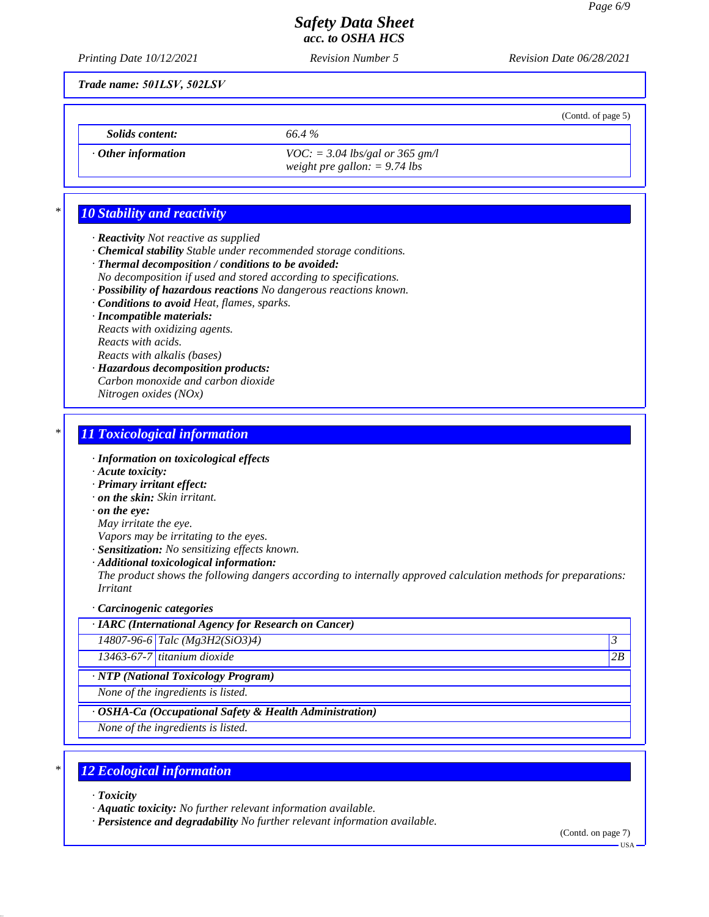*Printing Date 10/12/2021 Revision Number 5 Revision Date 06/28/2021*

*Trade name: 501LSV, 502LSV*

*Solids content: 66.4 %*

- 
- *· Other information VOC: = 3.04 lbs/gal or 365 gm/l weight pre gallon: = 9.74 lbs*

# *\* 10 Stability and reactivity*

- *· Reactivity Not reactive as supplied*
- *· Chemical stability Stable under recommended storage conditions.*
- *· Thermal decomposition / conditions to be avoided:*
- *No decomposition if used and stored according to specifications.*
- *· Possibility of hazardous reactions No dangerous reactions known.*
- *· Conditions to avoid Heat, flames, sparks.*
- *· Incompatible materials:*

*Reacts with oxidizing agents. Reacts with acids. Reacts with alkalis (bases)*

*· Hazardous decomposition products: Carbon monoxide and carbon dioxide Nitrogen oxides (NOx)*

# *\* 11 Toxicological information*

- *· Information on toxicological effects*
- *· Acute toxicity:*
- *· Primary irritant effect:*
- *· on the skin: Skin irritant.*
- *· on the eye:*
- *May irritate the eye.*
- *Vapors may be irritating to the eyes.*
- *· Sensitization: No sensitizing effects known.*
- *· Additional toxicological information:*

*The product shows the following dangers according to internally approved calculation methods for preparations: Irritant*

*· Carcinogenic categories*

*14807-96-6 Talc (Mg3H2(SiO3)4) 3* 

*13463-67-7 titanium dioxide 2B*

*· NTP (National Toxicology Program)*

*None of the ingredients is listed.*

*· OSHA-Ca (Occupational Safety & Health Administration)*

*None of the ingredients is listed.*

# *\* 12 Ecological information*

- *· Toxicity*
- *· Aquatic toxicity: No further relevant information available.*

*· Persistence and degradability No further relevant information available.*

(Contd. on page 7)

(Contd. of page 5)

USA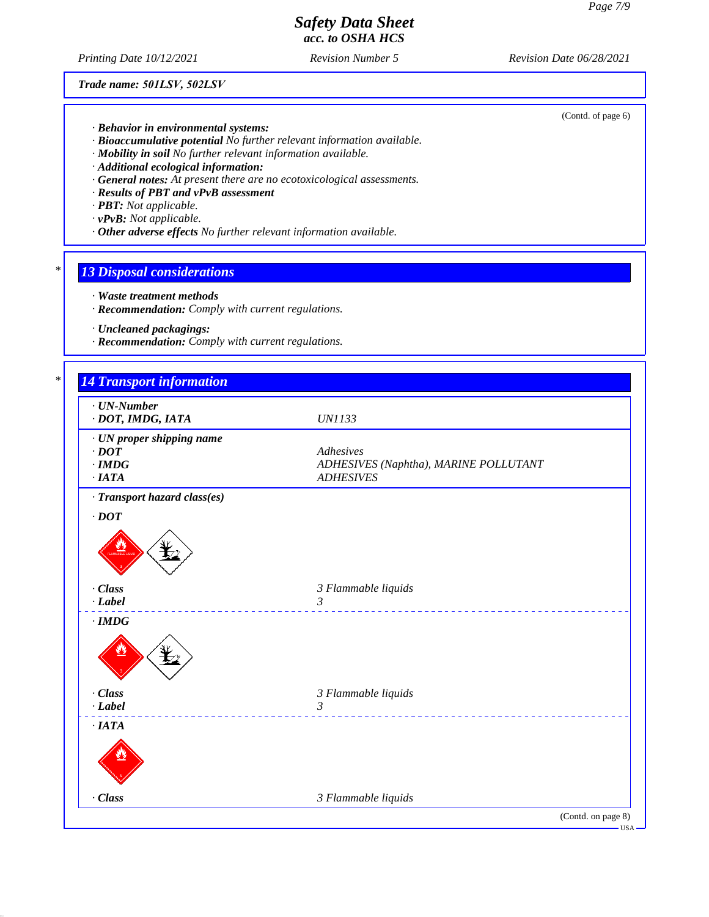*Printing Date 10/12/2021 Revision Number 5 Revision Date 06/28/2021*

*Trade name: 501LSV, 502LSV*

(Contd. of page 6)

- *· Behavior in environmental systems:*
- *· Bioaccumulative potential No further relevant information available.*
- *· Mobility in soil No further relevant information available.*
- *· Additional ecological information:*
- *· General notes: At present there are no ecotoxicological assessments.*
- *· Results of PBT and vPvB assessment*
- *· PBT: Not applicable.*
- *· vPvB: Not applicable.*
- *· Other adverse effects No further relevant information available.*

### *\* 13 Disposal considerations*

- *· Waste treatment methods*
- *· Recommendation: Comply with current regulations.*
- *· Uncleaned packagings:*
- *· Recommendation: Comply with current regulations.*

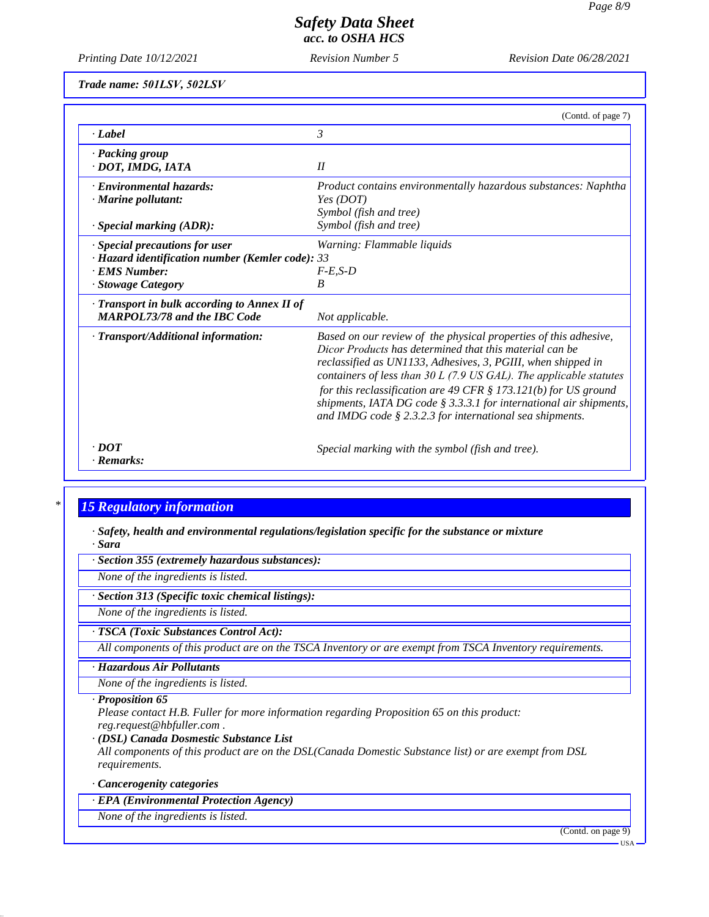*Printing Date 10/12/2021 Revision Number 5 Revision Date 06/28/2021*

| Trade name: 501LSV, 502LSV |  |  |
|----------------------------|--|--|
|----------------------------|--|--|

|                                                                                                                                       | (Contd. of page 7)                                                                                                                                                                                                                                                                                                                                                                                                                                                                |
|---------------------------------------------------------------------------------------------------------------------------------------|-----------------------------------------------------------------------------------------------------------------------------------------------------------------------------------------------------------------------------------------------------------------------------------------------------------------------------------------------------------------------------------------------------------------------------------------------------------------------------------|
| · Label                                                                                                                               | 3                                                                                                                                                                                                                                                                                                                                                                                                                                                                                 |
| · Packing group<br>· DOT, IMDG, IATA                                                                                                  | II                                                                                                                                                                                                                                                                                                                                                                                                                                                                                |
| · Environmental hazards:<br>$\cdot$ Marine pollutant:<br>$\cdot$ Special marking (ADR):                                               | Product contains environmentally hazardous substances: Naphtha<br>Yes (DOT)<br>Symbol (fish and tree)<br>Symbol (fish and tree)                                                                                                                                                                                                                                                                                                                                                   |
| $\cdot$ Special precautions for user<br>$\cdot$ Hazard identification number (Kemler code): 33<br>· EMS Number:<br>· Stowage Category | Warning: Flammable liquids<br>$F-E.S-D$<br>B                                                                                                                                                                                                                                                                                                                                                                                                                                      |
| · Transport in bulk according to Annex II of<br><b>MARPOL73/78 and the IBC Code</b>                                                   | Not applicable.                                                                                                                                                                                                                                                                                                                                                                                                                                                                   |
| · Transport/Additional information:                                                                                                   | Based on our review of the physical properties of this adhesive,<br>Dicor Products has determined that this material can be<br>reclassified as UN1133, Adhesives, 3, PGIII, when shipped in<br>containers of less than $30 L$ (7.9 US GAL). The applicable statutes<br>for this reclassification are 49 CFR $\S$ 173.121(b) for US ground<br>shipments, IATA DG code $\S$ 3.3.3.1 for international air shipments,<br>and IMDG code $\S 2.3.2.3$ for international sea shipments. |
| $\cdot$ DOT<br>· Remarks:                                                                                                             | Special marking with the symbol (fish and tree).                                                                                                                                                                                                                                                                                                                                                                                                                                  |

## *\* 15 Regulatory information*

*· Safety, health and environmental regulations/legislation specific for the substance or mixture · Sara*

*· Section 355 (extremely hazardous substances):*

*None of the ingredients is listed.*

*· Section 313 (Specific toxic chemical listings):*

*None of the ingredients is listed.*

### *· TSCA (Toxic Substances Control Act):*

*All components of this product are on the TSCA Inventory or are exempt from TSCA Inventory requirements.*

### *· Hazardous Air Pollutants*

*None of the ingredients is listed.*

#### *· Proposition 65*

*Please contact H.B. Fuller for more information regarding Proposition 65 on this product: reg.request@hbfuller.com .*

#### *· (DSL) Canada Dosmestic Substance List*

*All components of this product are on the DSL(Canada Domestic Substance list) or are exempt from DSL requirements.*

### *· Cancerogenity categories*

*· EPA (Environmental Protection Agency)*

*None of the ingredients is listed.*

(Contd. on page 9)

USA